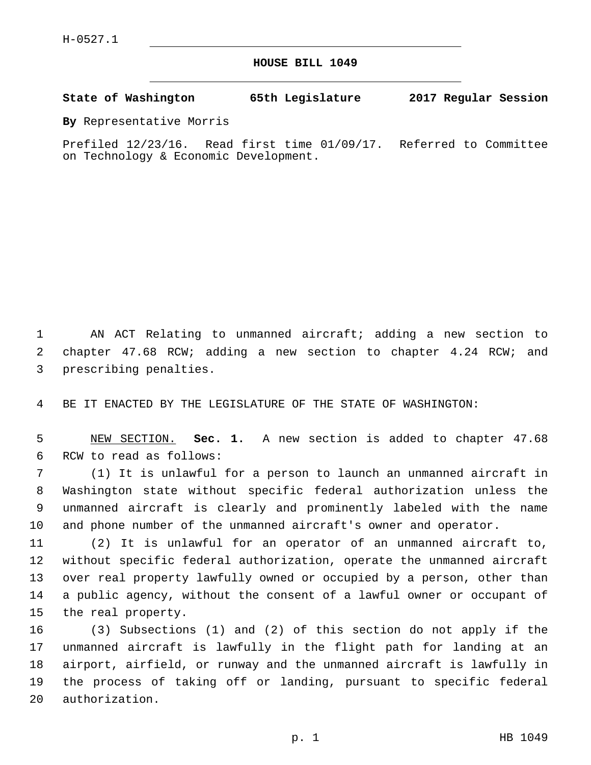**HOUSE BILL 1049**

**State of Washington 65th Legislature 2017 Regular Session**

**By** Representative Morris

Prefiled 12/23/16. Read first time 01/09/17. Referred to Committee on Technology & Economic Development.

1 AN ACT Relating to unmanned aircraft; adding a new section to 2 chapter 47.68 RCW; adding a new section to chapter 4.24 RCW; and 3 prescribing penalties.

4 BE IT ENACTED BY THE LEGISLATURE OF THE STATE OF WASHINGTON:

5 NEW SECTION. **Sec. 1.** A new section is added to chapter 47.68 6 RCW to read as follows:

 (1) It is unlawful for a person to launch an unmanned aircraft in Washington state without specific federal authorization unless the unmanned aircraft is clearly and prominently labeled with the name and phone number of the unmanned aircraft's owner and operator.

 (2) It is unlawful for an operator of an unmanned aircraft to, without specific federal authorization, operate the unmanned aircraft over real property lawfully owned or occupied by a person, other than a public agency, without the consent of a lawful owner or occupant of 15 the real property.

 (3) Subsections (1) and (2) of this section do not apply if the unmanned aircraft is lawfully in the flight path for landing at an airport, airfield, or runway and the unmanned aircraft is lawfully in the process of taking off or landing, pursuant to specific federal 20 authorization.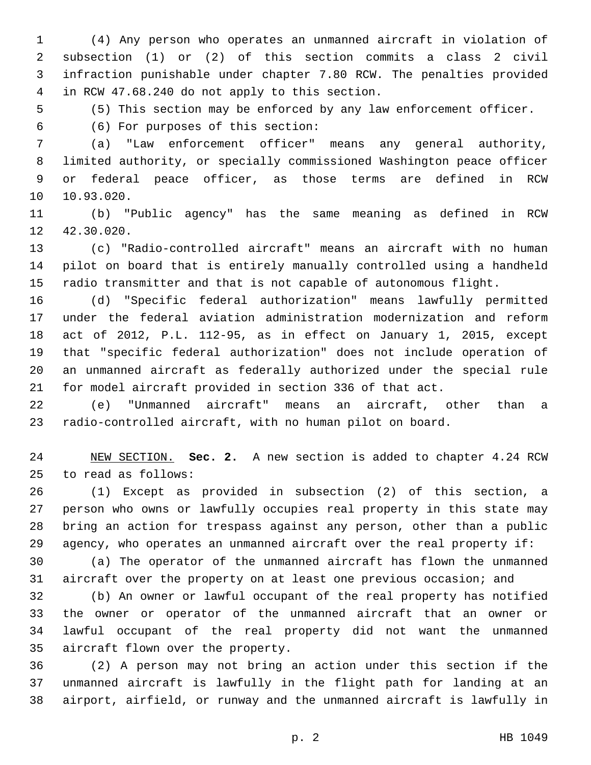(4) Any person who operates an unmanned aircraft in violation of subsection (1) or (2) of this section commits a class 2 civil infraction punishable under chapter 7.80 RCW. The penalties provided in RCW 47.68.240 do not apply to this section.4

(5) This section may be enforced by any law enforcement officer.

(6) For purposes of this section:6

 (a) "Law enforcement officer" means any general authority, limited authority, or specially commissioned Washington peace officer or federal peace officer, as those terms are defined in RCW 10.93.020.

 (b) "Public agency" has the same meaning as defined in RCW 12 42.30.020.

 (c) "Radio-controlled aircraft" means an aircraft with no human pilot on board that is entirely manually controlled using a handheld radio transmitter and that is not capable of autonomous flight.

 (d) "Specific federal authorization" means lawfully permitted under the federal aviation administration modernization and reform act of 2012, P.L. 112-95, as in effect on January 1, 2015, except that "specific federal authorization" does not include operation of an unmanned aircraft as federally authorized under the special rule for model aircraft provided in section 336 of that act.

 (e) "Unmanned aircraft" means an aircraft, other than a radio-controlled aircraft, with no human pilot on board.

 NEW SECTION. **Sec. 2.** A new section is added to chapter 4.24 RCW 25 to read as follows:

 (1) Except as provided in subsection (2) of this section, a person who owns or lawfully occupies real property in this state may bring an action for trespass against any person, other than a public agency, who operates an unmanned aircraft over the real property if:

 (a) The operator of the unmanned aircraft has flown the unmanned aircraft over the property on at least one previous occasion; and

 (b) An owner or lawful occupant of the real property has notified the owner or operator of the unmanned aircraft that an owner or lawful occupant of the real property did not want the unmanned 35 aircraft flown over the property.

 (2) A person may not bring an action under this section if the unmanned aircraft is lawfully in the flight path for landing at an airport, airfield, or runway and the unmanned aircraft is lawfully in